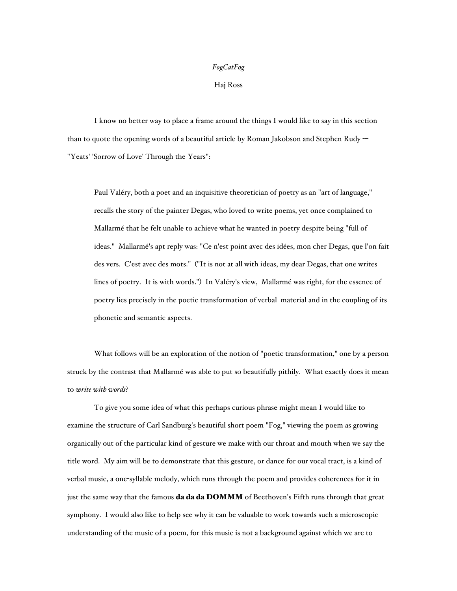#### *FogCatFog*

Haj Ross

I know no better way to place a frame around the things I would like to say in this section than to quote the opening words of a beautiful article by Roman Jakobson and Stephen Rudy --"Yeats' 'Sorrow of Love' Through the Years":

Paul Valéry, both a poet and an inquisitive theoretician of poetry as an "art of language," recalls the story of the painter Degas, who loved to write poems, yet once complained to Mallarmé that he felt unable to achieve what he wanted in poetry despite being "full of ideas." Mallarmé's apt reply was: "Ce n'est point avec des idées, mon cher Degas, que l'on fait des vers. C'est avec des mots." ("It is not at all with ideas, my dear Degas, that one writes lines of poetry. It is with words.") In Valéry's view, Mallarmé was right, for the essence of poetry lies precisely in the poetic transformation of verbal material and in the coupling of its phonetic and semantic aspects.

What follows will be an exploration of the notion of "poetic transformation," one by a person struck by the contrast that Mallarmé was able to put so beautifully pithily. What exactly does it mean to *write with words*?

To give you some idea of what this perhaps curious phrase might mean I would like to examine the structure of Carl Sandburg's beautiful short poem "Fog," viewing the poem as growing organically out of the particular kind of gesture we make with our throat and mouth when we say the title word. My aim will be to demonstrate that this gesture, or dance for our vocal tract, is a kind of verbal music, a one-syllable melody, which runs through the poem and provides coherences for it in just the same way that the famous **da da da DOMMM** of Beethoven's Fifth runs through that great symphony. I would also like to help see why it can be valuable to work towards such a microscopic understanding of the music of a poem, for this music is not a background against which we are to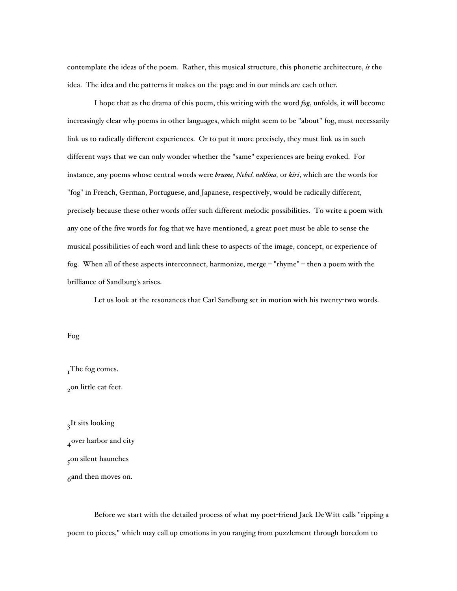contemplate the ideas of the poem. Rather, this musical structure, this phonetic architecture, *is* the idea. The idea and the patterns it makes on the page and in our minds are each other.

I hope that as the drama of this poem, this writing with the word *fog*, unfolds, it will become increasingly clear why poems in other languages, which might seem to be "about" fog, must necessarily link us to radically different experiences. Or to put it more precisely, they must link us in such different ways that we can only wonder whether the "same" experiences are being evoked. For instance, any poems whose central words were *brume, Nebel, neblina,* or *kiri*, which are the words for "fog" in French, German, Portuguese, and Japanese, respectively, would be radically different, precisely because these other words offer such different melodic possibilities. To write a poem with any one of the five words for fog that we have mentioned, a great poet must be able to sense the musical possibilities of each word and link these to aspects of the image, concept, or experience of fog. When all of these aspects interconnect, harmonize, merge – "rhyme" – then a poem with the brilliance of Sandburg's arises.

Let us look at the resonances that Carl Sandburg set in motion with his twenty-two words.

Fog

The fog comes.

<sub>2</sub>on little cat feet.

3It sits looking over harbor and city on silent haunches and then moves on.

Before we start with the detailed process of what my poet-friend Jack DeWitt calls "ripping a poem to pieces," which may call up emotions in you ranging from puzzlement through boredom to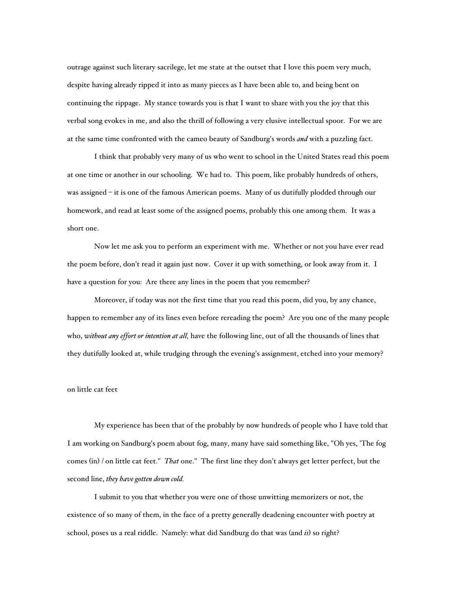outrage against such literary sacrilege, let me state at the outset that I love this poem very much, despite having already ripped it into as many pieces as I have been able to, and being bent on continuing the rippage. My stance towards you is that I want to share with you the joy that this verbal song evokes in me, and also the thrill of following a very elusive intellectual spoor. For we are at the same time confronted with the cameo beauty of Sandburg's words *and* with a puzzling fact.

I think that probably very many of us who went to school in the United States read this poem at one time or another in our schooling. We had to. This poem, like probably hundreds of others, was assigned – it is one of the famous American poems. Many of us dutifully plodded through our homework, and read at least some of the assigned poems, probably this one among them. It was a short one.

Now let me ask you to perform an experiment with me. Whether or not you have ever read the poem before, don't read it again just now. Cover it up with something, or look away from it. I have a question for you: Are there any lines in the poem that you remember?

Moreover, if today was not the first time that you read this poem, did you, by any chance, happen to remember any of its lines even before rereading the poem? Are you one of the many people who, *without any effort or intention at all,* have the following line, out of all the thousands of lines that they dutifully looked at, while trudging through the evening's assignment, etched into your memory?

## on little cat feet

My experience has been that of the probably by now hundreds of people who I have told that I am working on Sandburg's poem about fog, many, many have said something like, "Oh yes, 'The fog comes (in) / on little cat feet." *That* one." The first line they don't always get letter perfect, but the second line, *they have gotten down cold.*

I submit to you that whether you were one of those unwitting memorizers or not, the existence of so many of them, in the face of a pretty generally deadening encounter with poetry at school, poses us a real riddle. Namely: what did Sandburg do that was (and *is*) so right?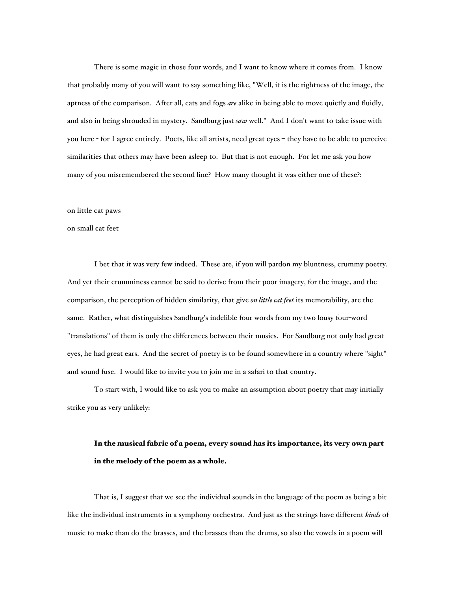There is some magic in those four words, and I want to know where it comes from. I know that probably many of you will want to say something like, "Well, it is the rightness of the image, the aptness of the comparison. After all, cats and fogs *are* alike in being able to move quietly and fluidly, and also in being shrouded in mystery. Sandburg just *saw* well." And I don't want to take issue with you here - for I agree entirely. Poets, like all artists, need great eyes – they have to be able to perceive similarities that others may have been asleep to. But that is not enough. For let me ask you how many of you misremembered the second line? How many thought it was either one of these?:

### on little cat paws

#### on small cat feet

I bet that it was very few indeed. These are, if you will pardon my bluntness, crummy poetry. And yet their crumminess cannot be said to derive from their poor imagery, for the image, and the comparison, the perception of hidden similarity, that give *on little cat feet* its memorability, are the same. Rather, what distinguishes Sandburg's indelible four words from my two lousy four-word "translations" of them is only the differences between their musics. For Sandburg not only had great eyes, he had great ears. And the secret of poetry is to be found somewhere in a country where "sight" and sound fuse. I would like to invite you to join me in a safari to that country.

To start with, I would like to ask you to make an assumption about poetry that may initially strike you as very unlikely:

# In the musical fabric of a poem, every sound has its importance, its very own part in the melody of the poem as a whole.

That is, I suggest that we see the individual sounds in the language of the poem as being a bit like the individual instruments in a symphony orchestra. And just as the strings have different *kinds* of music to make than do the brasses, and the brasses than the drums, so also the vowels in a poem will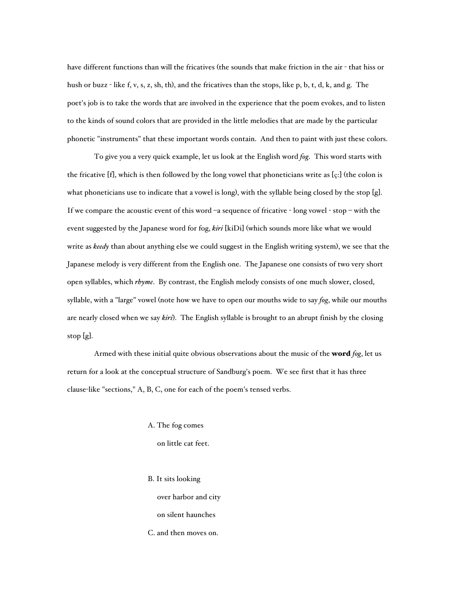have different functions than will the fricatives (the sounds that make friction in the air - that hiss or hush or buzz - like f, v, s, z, sh, th), and the fricatives than the stops, like p, b, t, d, k, and g. The poet's job is to take the words that are involved in the experience that the poem evokes, and to listen to the kinds of sound colors that are provided in the little melodies that are made by the particular phonetic "instruments" that these important words contain. And then to paint with just these colors.

To give you a very quick example, let us look at the English word *fog*. This word starts with the fricative  $[f]$ , which is then followed by the long vowel that phoneticians write as  $[c]$ : (the colon is what phoneticians use to indicate that a vowel is long), with the syllable being closed by the stop [g]. If we compare the acoustic event of this word  $-a$  sequence of fricative - long vowel - stop – with the event suggested by the Japanese word for fog, *kiri* [kiDi] (which sounds more like what we would write as *keedy* than about anything else we could suggest in the English writing system), we see that the Japanese melody is very different from the English one. The Japanese one consists of two very short open syllables, which *rhyme*. By contrast, the English melody consists of one much slower, closed, syllable, with a "large" vowel (note how we have to open our mouths wide to say *fog*, while our mouths are nearly closed when we say *kiri*). The English syllable is brought to an abrupt finish by the closing stop [g].

Armed with these initial quite obvious observations about the music of the word *fog*, let us return for a look at the conceptual structure of Sandburg's poem. We see first that it has three clause-like "sections," A, B, C, one for each of the poem's tensed verbs.

A. The fog comes

on little cat feet.

B. It sits looking over harbor and city on silent haunches C. and then moves on.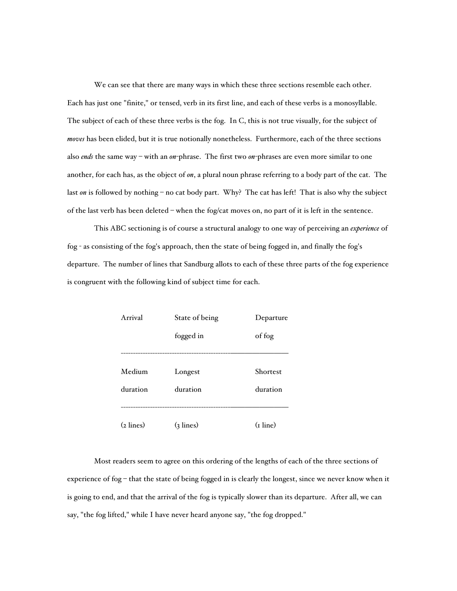We can see that there are many ways in which these three sections resemble each other. Each has just one "finite," or tensed, verb in its first line, and each of these verbs is a monosyllable. The subject of each of these three verbs is the fog. In C, this is not true visually, for the subject of *moves* has been elided, but it is true notionally nonetheless. Furthermore, each of the three sections also *ends* the same way – with an *on*-phrase. The first two *on*-phrases are even more similar to one another, for each has, as the object of *on*, a plural noun phrase referring to a body part of the cat. The last *on* is followed by nothing – no cat body part. Why? The cat has left! That is also why the subject of the last verb has been deleted – when the fog/cat moves on, no part of it is left in the sentence.

This ABC sectioning is of course a structural analogy to one way of perceiving an *experience* of fog - as consisting of the fog's approach, then the state of being fogged in, and finally the fog's departure. The number of lines that Sandburg allots to each of these three parts of the fog experience is congruent with the following kind of subject time for each.

| Arrival             | State of being      | Departure  |
|---------------------|---------------------|------------|
|                     | fogged in           | of fog     |
|                     |                     |            |
| Medium              | Longest             | Shortest   |
| duration            | duration            | duration   |
|                     |                     |            |
| $(2 \text{ lines})$ | $(3 \text{ lines})$ | $(i$ line) |

Most readers seem to agree on this ordering of the lengths of each of the three sections of experience of fog – that the state of being fogged in is clearly the longest, since we never know when it is going to end, and that the arrival of the fog is typically slower than its departure. After all, we can say, "the fog lifted," while I have never heard anyone say, "the fog dropped."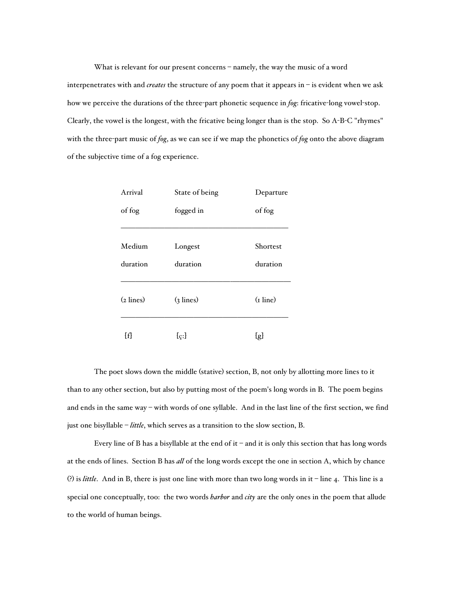What is relevant for our present concerns – namely, the way the music of a word interpenetrates with and *creates* the structure of any poem that it appears in – is evident when we ask how we perceive the durations of the three-part phonetic sequence in *fog*: fricative-long vowel-stop. Clearly, the vowel is the longest, with the fricative being longer than is the stop. So A-B-C "rhymes" with the three-part music of *fog*, as we can see if we map the phonetics of *fog* onto the above diagram of the subjective time of a fog experience.

| Arrival             | State of being           | Departure  |
|---------------------|--------------------------|------------|
| of fog              | fogged in                | of fog     |
|                     |                          |            |
| Medium              | Longest                  | Shortest   |
| duration            | duration                 | duration   |
|                     |                          |            |
| $(2 \text{ lines})$ | $(3 \text{ lines})$      | $(i$ line) |
|                     |                          |            |
| [f]                 | $\left[\text{c:}\right]$ | [g]        |

The poet slows down the middle (stative) section, B, not only by allotting more lines to it than to any other section, but also by putting most of the poem's long words in B. The poem begins and ends in the same way – with words of one syllable. And in the last line of the first section, we find just one bisyllable – *little*, which serves as a transition to the slow section, B.

Every line of B has a bisyllable at the end of it – and it is only this section that has long words at the ends of lines. Section B has *all* of the long words except the one in section A, which by chance (?) is *little*. And in B, there is just one line with more than two long words in it – line 4. This line is a special one conceptually, too: the two words *harbor* and *city* are the only ones in the poem that allude to the world of human beings.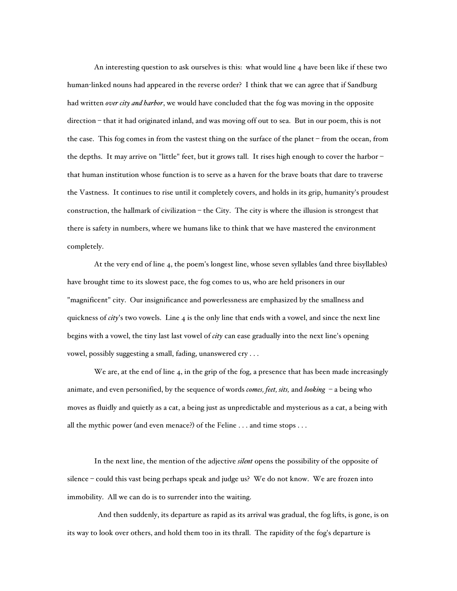An interesting question to ask ourselves is this: what would line 4 have been like if these two human-linked nouns had appeared in the reverse order? I think that we can agree that if Sandburg had written *over city and harbor*, we would have concluded that the fog was moving in the opposite direction – that it had originated inland, and was moving off out to sea. But in our poem, this is not the case. This fog comes in from the vastest thing on the surface of the planet – from the ocean, from the depths. It may arrive on "little" feet, but it grows tall. It rises high enough to cover the harbor – that human institution whose function is to serve as a haven for the brave boats that dare to traverse the Vastness. It continues to rise until it completely covers, and holds in its grip, humanity's proudest construction, the hallmark of civilization – the City. The city is where the illusion is strongest that there is safety in numbers, where we humans like to think that we have mastered the environment completely.

At the very end of line 4, the poem's longest line, whose seven syllables (and three bisyllables) have brought time to its slowest pace, the fog comes to us, who are held prisoners in our "magnificent" city. Our insignificance and powerlessness are emphasized by the smallness and quickness of *city*'s two vowels. Line  $4$  is the only line that ends with a vowel, and since the next line begins with a vowel, the tiny last last vowel of *city* can ease gradually into the next line's opening vowel, possibly suggesting a small, fading, unanswered cry . . .

We are, at the end of line 4, in the grip of the fog, a presence that has been made increasingly animate, and even personified, by the sequence of words *comes, feet, sits,* and *looking* – a being who moves as fluidly and quietly as a cat, a being just as unpredictable and mysterious as a cat, a being with all the mythic power (and even menace?) of the Feline . . . and time stops . . .

In the next line, the mention of the adjective *silent* opens the possibility of the opposite of silence – could this vast being perhaps speak and judge us? We do not know. We are frozen into immobility. All we can do is to surrender into the waiting.

 And then suddenly, its departure as rapid as its arrival was gradual, the fog lifts, is gone, is on its way to look over others, and hold them too in its thrall. The rapidity of the fog's departure is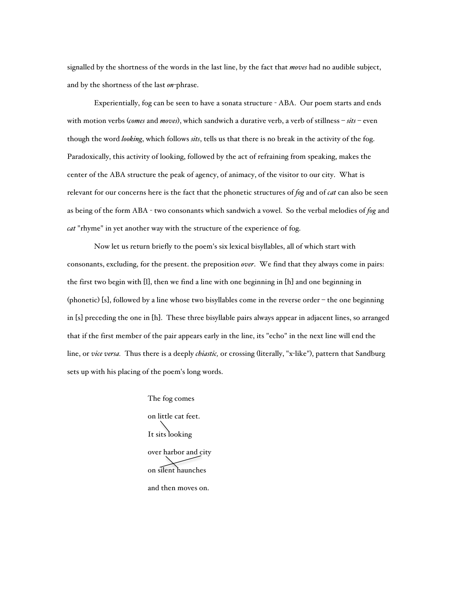signalled by the shortness of the words in the last line, by the fact that *moves* had no audible subject, and by the shortness of the last *on*-phrase.

Experientially, fog can be seen to have a sonata structure - ABA. Our poem starts and ends with motion verbs (*comes* and *moves*), which sandwich a durative verb, a verb of stillness – *sits* – even though the word *looking*, which follows *sits*, tells us that there is no break in the activity of the fog. Paradoxically, this activity of looking, followed by the act of refraining from speaking, makes the center of the ABA structure the peak of agency, of animacy, of the visitor to our city. What is relevant for our concerns here is the fact that the phonetic structures of *fog* and of *cat* can also be seen as being of the form ABA - two consonants which sandwich a vowel. So the verbal melodies of *fog* and *cat* "rhyme" in yet another way with the structure of the experience of fog.

Now let us return briefly to the poem's six lexical bisyllables, all of which start with consonants, excluding, for the present. the preposition *over*. We find that they always come in pairs: the first two begin with [l], then we find a line with one beginning in [h] and one beginning in (phonetic) [s], followed by a line whose two bisyllables come in the reverse order – the one beginning in [s] preceding the one in [h]. These three bisyllable pairs always appear in adjacent lines, so arranged that if the first member of the pair appears early in the line, its "echo" in the next line will end the line, or *vice versa.* Thus there is a deeply *chiastic,* or crossing (literally, "x-like"), pattern that Sandburg sets up with his placing of the poem's long words.

> The fog comes on little cat feet. It sits looking over harbor and city on silent haunches and then moves on.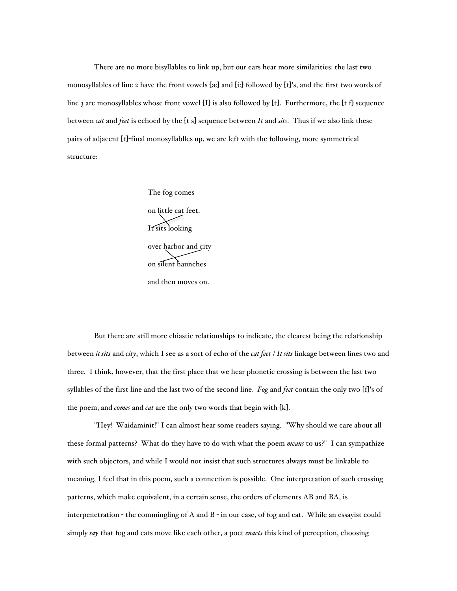There are no more bisyllables to link up, but our ears hear more similarities: the last two monosyllables of line 2 have the front vowels [æ] and [i:] followed by [t]'s, and the first two words of line 3 are monosyllables whose front vowel [I] is also followed by [t]. Furthermore, the [t f] sequence between *cat* and *feet* is echoed by the [t s] sequence between *It* and *sits*. Thus if we also link these pairs of adjacent [t]-final monosyllablles up, we are left with the following, more symmetrical structure:

> The fog comes on little cat feet. It sits looking over harbor and city on silent haunches and then moves on.

But there are still more chiastic relationships to indicate, the clearest being the relationship between *it sits* and *city*, which I see as a sort of echo of the *cat feet* / *It sits* linkage between lines two and three. I think, however, that the first place that we hear phonetic crossing is between the last two syllables of the first line and the last two of the second line. *Fog* and *feet* contain the only two [f]'s of the poem, and *comes* and *cat* are the only two words that begin with [k].

"Hey! Waidaminit!" I can almost hear some readers saying. "Why should we care about all these formal patterns? What do they have to do with what the poem *means* to us?" I can sympathize with such objectors, and while I would not insist that such structures always must be linkable to meaning, I feel that in this poem, such a connection is possible. One interpretation of such crossing patterns, which make equivalent, in a certain sense, the orders of elements AB and BA, is interpenetration - the commingling of A and B - in our case, of fog and cat. While an essayist could simply *say* that fog and cats move like each other, a poet *enacts* this kind of perception, choosing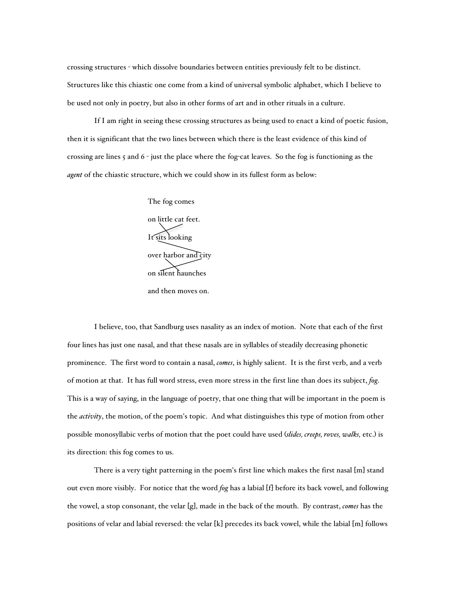crossing structures - which dissolve boundaries between entities previously felt to be distinct. Structures like this chiastic one come from a kind of universal symbolic alphabet, which I believe to be used not only in poetry, but also in other forms of art and in other rituals in a culture.

If I am right in seeing these crossing structures as being used to enact a kind of poetic fusion, then it is significant that the two lines between which there is the least evidence of this kind of crossing are lines 5 and 6 - just the place where the fog-cat leaves. So the fog is functioning as the *agent* of the chiastic structure, which we could show in its fullest form as below:

> The fog comes on little cat feet. It sits looking over harbor and city on silent haunches and then moves on.

I believe, too, that Sandburg uses nasality as an index of motion. Note that each of the first four lines has just one nasal, and that these nasals are in syllables of steadily decreasing phonetic prominence. The first word to contain a nasal, *comes*, is highly salient. It is the first verb, and a verb of motion at that. It has full word stress, even more stress in the first line than does its subject, *fog*. This is a way of saying, in the language of poetry, that one thing that will be important in the poem is the *activity*, the motion, of the poem's topic. And what distinguishes this type of motion from other possible monosyllabic verbs of motion that the poet could have used (*slides, creeps, roves, walks,* etc.) is its direction: this fog comes to us.

There is a very tight patterning in the poem's first line which makes the first nasal [m] stand out even more visibly. For notice that the word *fog* has a labial [f] before its back vowel, and following the vowel, a stop consonant, the velar [g], made in the back of the mouth. By contrast, *comes* has the positions of velar and labial reversed: the velar [k] precedes its back vowel, while the labial [m] follows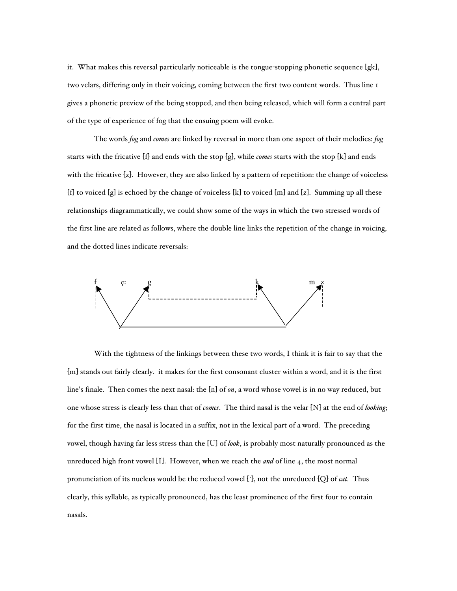it. What makes this reversal particularly noticeable is the tongue-stopping phonetic sequence [gk], two velars, differing only in their voicing, coming between the first two content words. Thus line 1 gives a phonetic preview of the being stopped, and then being released, which will form a central part of the type of experience of fog that the ensuing poem will evoke.

The words *fog* and *comes* are linked by reversal in more than one aspect of their melodies: *fog* starts with the fricative [f] and ends with the stop [g], while *comes* starts with the stop [k] and ends with the fricative  $[z]$ . However, they are also linked by a pattern of repetition: the change of voiceless [f] to voiced [g] is echoed by the change of voiceless [k] to voiced [m] and [z]. Summing up all these relationships diagrammatically, we could show some of the ways in which the two stressed words of the first line are related as follows, where the double line links the repetition of the change in voicing, and the dotted lines indicate reversals:



With the tightness of the linkings between these two words, I think it is fair to say that the [m] stands out fairly clearly. it makes for the first consonant cluster within a word, and it is the first line's finale. Then comes the next nasal: the [n] of *on*, a word whose vowel is in no way reduced, but one whose stress is clearly less than that of *comes*. The third nasal is the velar [N] at the end of *looking*; for the first time, the nasal is located in a suffix, not in the lexical part of a word. The preceding vowel, though having far less stress than the [U] of *look*, is probably most naturally pronounced as the unreduced high front vowel [I]. However, when we reach the *and* of line 4, the most normal pronunciation of its nucleus would be the reduced vowel [´], not the unreduced [Q] of *cat.* Thus clearly, this syllable, as typically pronounced, has the least prominence of the first four to contain nasals.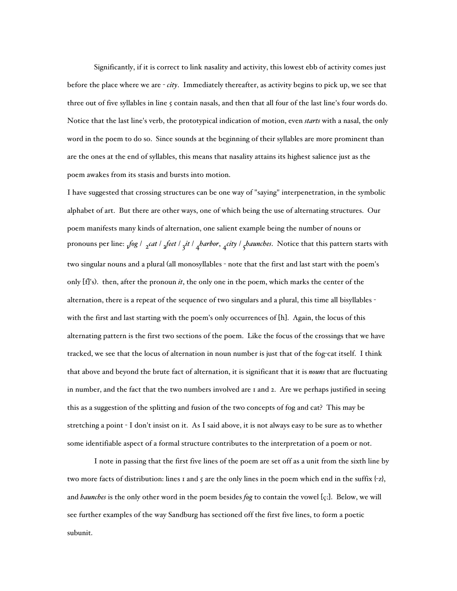Significantly, if it is correct to link nasality and activity, this lowest ebb of activity comes just before the place where we are - *city*. Immediately thereafter, as activity begins to pick up, we see that three out of five syllables in line 5 contain nasals, and then that all four of the last line's four words do. Notice that the last line's verb, the prototypical indication of motion, even *starts* with a nasal, the only word in the poem to do so. Since sounds at the beginning of their syllables are more prominent than are the ones at the end of syllables, this means that nasality attains its highest salience just as the poem awakes from its stasis and bursts into motion.

I have suggested that crossing structures can be one way of "saying" interpenetration, in the symbolic alphabet of art. But there are other ways, one of which being the use of alternating structures. Our poem manifests many kinds of alternation, one salient example being the number of nouns or pronouns per line: 1*fog* / 2*cat* / 2*feet* / 3*it* / 4*harbor*, 4*city* / 5*haunches*. Notice that this pattern starts with two singular nouns and a plural (all monosyllables - note that the first and last start with the poem's only [f]'s). then, after the pronoun *it*, the only one in the poem, which marks the center of the alternation, there is a repeat of the sequence of two singulars and a plural, this time all bisyllables with the first and last starting with the poem's only occurrences of [h]. Again, the locus of this alternating pattern is the first two sections of the poem. Like the focus of the crossings that we have tracked, we see that the locus of alternation in noun number is just that of the fog-cat itself. I think that above and beyond the brute fact of alternation, it is significant that it is *nouns* that are fluctuating in number, and the fact that the two numbers involved are 1 and 2. Are we perhaps justified in seeing this as a suggestion of the splitting and fusion of the two concepts of fog and cat? This may be stretching a point - I don't insist on it. As I said above, it is not always easy to be sure as to whether some identifiable aspect of a formal structure contributes to the interpretation of a poem or not.

I note in passing that the first five lines of the poem are set off as a unit from the sixth line by two more facts of distribution: lines 1 and 5 are the only lines in the poem which end in the suffix  $\{z\}$ , and *haunches* is the only other word in the poem besides *fog* to contain the vowel [ç:]. Below, we will see further examples of the way Sandburg has sectioned off the first five lines, to form a poetic subunit.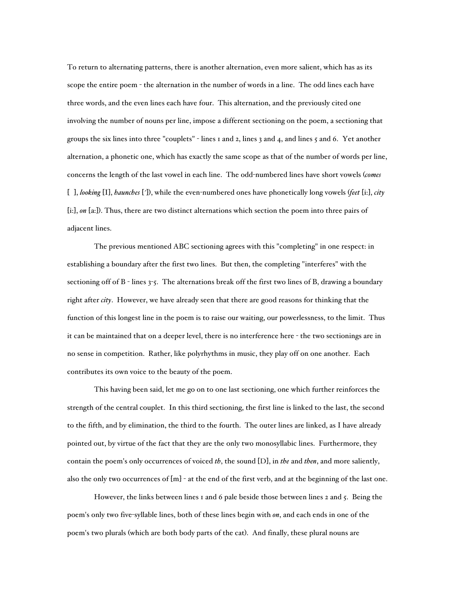To return to alternating patterns, there is another alternation, even more salient, which has as its scope the entire poem - the alternation in the number of words in a line. The odd lines each have three words, and the even lines each have four. This alternation, and the previously cited one involving the number of nouns per line, impose a different sectioning on the poem, a sectioning that groups the six lines into three "couplets" - lines 1 and 2, lines 3 and 4, and lines 5 and 6. Yet another alternation, a phonetic one, which has exactly the same scope as that of the number of words per line, concerns the length of the last vowel in each line. The odd-numbered lines have short vowels (*comes* [], *looking* [I], *haunches* [´]), while the even-numbered ones have phonetically long vowels (*feet* [i:], *city* [i:], *on* [a:]). Thus, there are two distinct alternations which section the poem into three pairs of adjacent lines.

The previous mentioned ABC sectioning agrees with this "completing" in one respect: in establishing a boundary after the first two lines. But then, the completing "interferes" with the sectioning off of  $B$  - lines  $3-5$ . The alternations break off the first two lines of B, drawing a boundary right after *city*. However, we have already seen that there are good reasons for thinking that the function of this longest line in the poem is to raise our waiting, our powerlessness, to the limit. Thus it can be maintained that on a deeper level, there is no interference here - the two sectionings are in no sense in competition. Rather, like polyrhythms in music, they play off on one another. Each contributes its own voice to the beauty of the poem.

This having been said, let me go on to one last sectioning, one which further reinforces the strength of the central couplet. In this third sectioning, the first line is linked to the last, the second to the fifth, and by elimination, the third to the fourth. The outer lines are linked, as I have already pointed out, by virtue of the fact that they are the only two monosyllabic lines. Furthermore, they contain the poem's only occurrences of voiced *th*, the sound [D], in *the* and *then*, and more saliently, also the only two occurrences of [m] - at the end of the first verb, and at the beginning of the last one.

However, the links between lines  $\bar{x}$  and 6 pale beside those between lines 2 and  $\zeta$ . Being the poem's only two five-syllable lines, both of these lines begin with *on*, and each ends in one of the poem's two plurals (which are both body parts of the cat). And finally, these plural nouns are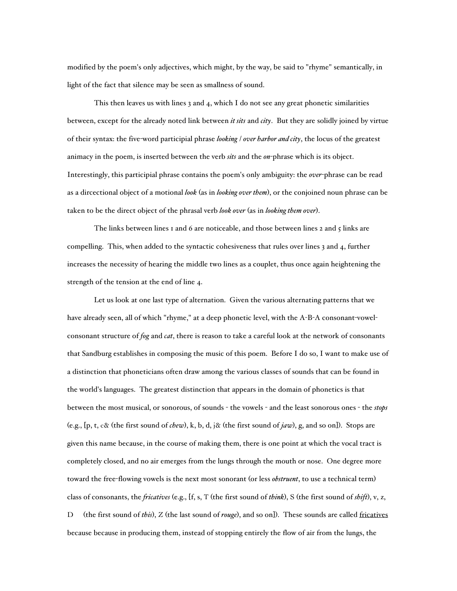modified by the poem's only adjectives, which might, by the way, be said to "rhyme" semantically, in light of the fact that silence may be seen as smallness of sound.

This then leaves us with lines  $3$  and  $4$ , which I do not see any great phonetic similarities between, except for the already noted link between *it sits* and *city*. But they are solidly joined by virtue of their syntax: the five-word participial phrase *looking* / *over harbor and city*, the locus of the greatest animacy in the poem, is inserted between the verb *sits* and the *on*-phrase which is its object. Interestingly, this participial phrase contains the poem's only ambiguity: the *over*-phrase can be read as a dircectional object of a motional *look* (as in *looking over them*), or the conjoined noun phrase can be taken to be the direct object of the phrasal verb *look over* (as in *looking them over*).

The links between lines 1 and 6 are noticeable, and those between lines 2 and 5 links are compelling. This, when added to the syntactic cohesiveness that rules over lines 3 and 4, further increases the necessity of hearing the middle two lines as a couplet, thus once again heightening the strength of the tension at the end of line 4.

Let us look at one last type of alternation. Given the various alternating patterns that we have already seen, all of which "rhyme," at a deep phonetic level, with the A-B-A consonant-vowelconsonant structure of *fog* and *cat*, there is reason to take a careful look at the network of consonants that Sandburg establishes in composing the music of this poem. Before I do so, I want to make use of a distinction that phoneticians often draw among the various classes of sounds that can be found in the world's languages. The greatest distinction that appears in the domain of phonetics is that between the most musical, or sonorous, of sounds - the vowels - and the least sonorous ones - the *stops* (e.g., [p, t, c& (the first sound of *chew*), k, b, d, j& (the first sound of *jaw*), g, and so on]). Stops are given this name because, in the course of making them, there is one point at which the vocal tract is completely closed, and no air emerges from the lungs through the mouth or nose. One degree more toward the free-flowing vowels is the next most sonorant (or less *obstruent*, to use a technical term) class of consonants, the *fricatives* (e.g., [f, s, T (the first sound of *think*), S (the first sound of *shift*), v, z, D (the first sound of *this*), Z (the last sound of *rouge*), and so on]). These sounds are called fricatives because because in producing them, instead of stopping entirely the flow of air from the lungs, the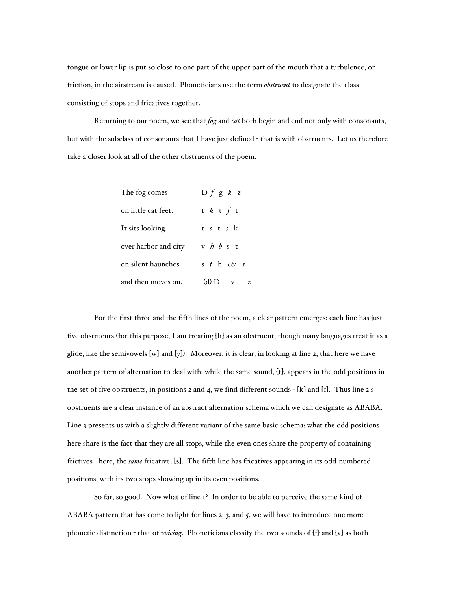tongue or lower lip is put so close to one part of the upper part of the mouth that a turbulence, or friction, in the airstream is caused. Phoneticians use the term *obstruent* to designate the class consisting of stops and fricatives together.

Returning to our poem, we see that *fog* and *cat* both begin and end not only with consonants, but with the subclass of consonants that I have just defined - that is with obstruents. Let us therefore take a closer look at all of the other obstruents of the poem.

| The fog comes        | D f g k z                     |
|----------------------|-------------------------------|
| on little cat feet.  | t $k$ t $f$ t                 |
| It sits looking.     | tstsk                         |
| over harbor and city | $v$ b b s t                   |
| on silent haunches   | s t h $c\& z$                 |
| and then moves on.   | $(d)$ D<br>$\mathbf{v}$<br>7. |

For the first three and the fifth lines of the poem, a clear pattern emerges: each line has just five obstruents (for this purpose, I am treating [h] as an obstruent, though many languages treat it as a glide, like the semivowels  $[w]$  and  $[y]$ ). Moreover, it is clear, in looking at line 2, that here we have another pattern of alternation to deal with: while the same sound, [t], appears in the odd positions in the set of five obstruents, in positions 2 and 4, we find different sounds - [k] and [f]. Thus line 2's obstruents are a clear instance of an abstract alternation schema which we can designate as ABABA. Line 3 presents us with a slightly different variant of the same basic schema: what the odd positions here share is the fact that they are all stops, while the even ones share the property of containing frictives - here, the *same* fricative, [s]. The fifth line has fricatives appearing in its odd-numbered positions, with its two stops showing up in its even positions.

So far, so good. Now what of line 1? In order to be able to perceive the same kind of ABABA pattern that has come to light for lines  $2, 3$ , and  $5$ , we will have to introduce one more phonetic distinction - that of *voicing*. Phoneticians classify the two sounds of [f] and [v] as both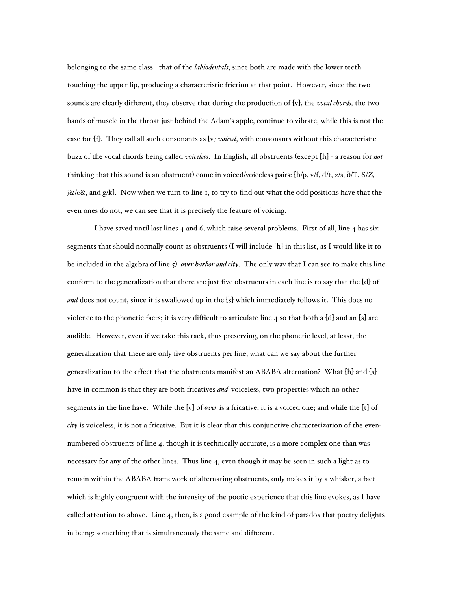belonging to the same class - that of the *labiodentals*, since both are made with the lower teeth touching the upper lip, producing a characteristic friction at that point. However, since the two sounds are clearly different, they observe that during the production of [v], the *vocal chords,* the two bands of muscle in the throat just behind the Adam's apple, continue to vibrate, while this is not the case for [f]. They call all such consonants as [v] *voiced*, with consonants without this characteristic buzz of the vocal chords being called *voiceless*. In English, all obstruents (except [h] - a reason for *not* thinking that this sound is an obstruent) come in voiced/voiceless pairs: [b/p, v/f, d/t, z/s, ∂/T, S/Z,  $j\&\&c\&$ , and g/k]. Now when we turn to line 1, to try to find out what the odd positions have that the even ones do not, we can see that it is precisely the feature of voicing.

I have saved until last lines 4 and 6, which raise several problems. First of all, line 4 has six segments that should normally count as obstruents (I will include [h] in this list, as I would like it to be included in the algebra of line 5): *over harbor and city*. The only way that I can see to make this line conform to the generalization that there are just five obstruents in each line is to say that the [d] of *and* does not count, since it is swallowed up in the [s] which immediately follows it. This does no violence to the phonetic facts; it is very difficult to articulate line 4 so that both a [d] and an [s] are audible. However, even if we take this tack, thus preserving, on the phonetic level, at least, the generalization that there are only five obstruents per line, what can we say about the further generalization to the effect that the obstruents manifest an ABABA alternation? What [h] and [s] have in common is that they are both fricatives *and* voiceless, two properties which no other segments in the line have. While the [v] of *over* is a fricative, it is a voiced one; and while the [t] of *city* is voiceless, it is not a fricative. But it is clear that this conjunctive characterization of the evennumbered obstruents of line 4, though it is technically accurate, is a more complex one than was necessary for any of the other lines. Thus line 4, even though it may be seen in such a light as to remain within the ABABA framework of alternating obstruents, only makes it by a whisker, a fact which is highly congruent with the intensity of the poetic experience that this line evokes, as I have called attention to above. Line 4, then, is a good example of the kind of paradox that poetry delights in being: something that is simultaneously the same and different.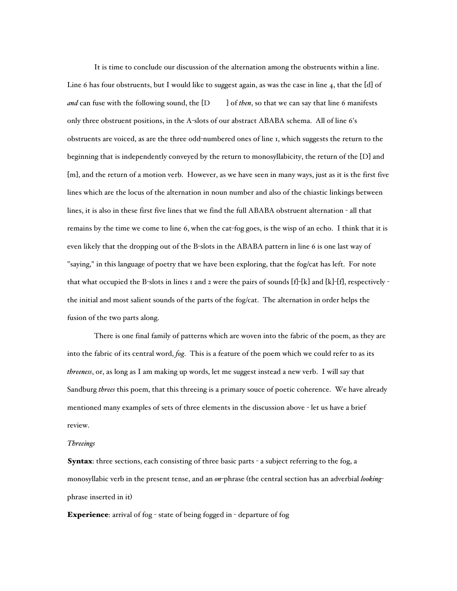It is time to conclude our discussion of the alternation among the obstruents within a line. Line 6 has four obstruents, but I would like to suggest again, as was the case in line 4, that the [d] of *and* can fuse with the following sound, the [D] of *then*, so that we can say that line 6 manifests only three obstruent positions, in the A-slots of our abstract ABABA schema. All of line 6's obstruents are voiced, as are the three odd-numbered ones of line 1, which suggests the return to the beginning that is independently conveyed by the return to monosyllabicity, the return of the [D] and [m], and the return of a motion verb. However, as we have seen in many ways, just as it is the first five lines which are the locus of the alternation in noun number and also of the chiastic linkings between lines, it is also in these first five lines that we find the full ABABA obstruent alternation - all that remains by the time we come to line 6, when the cat-fog goes, is the wisp of an echo. I think that it is even likely that the dropping out of the B-slots in the ABABA pattern in line 6 is one last way of "saying," in this language of poetry that we have been exploring, that the fog/cat has left. For note that what occupied the B-slots in lines 1 and 2 were the pairs of sounds  $[f]-[k]$  and  $[k]-[f]$ , respectively the initial and most salient sounds of the parts of the fog/cat. The alternation in order helps the fusion of the two parts along.

There is one final family of patterns which are woven into the fabric of the poem, as they are into the fabric of its central word, *fog*. This is a feature of the poem which we could refer to as its *threeness*, or, as long as I am making up words, let me suggest instead a new verb. I will say that Sandburg *threes* this poem, that this threeing is a primary souce of poetic coherence. We have already mentioned many examples of sets of three elements in the discussion above - let us have a brief review.

# *Threeings*

Syntax: three sections, each consisting of three basic parts - a subject referring to the fog, a monosyllabic verb in the present tense, and an *on*-phrase (the central section has an adverbial *looking*phrase inserted in it)

**Experience:** arrival of fog - state of being fogged in - departure of fog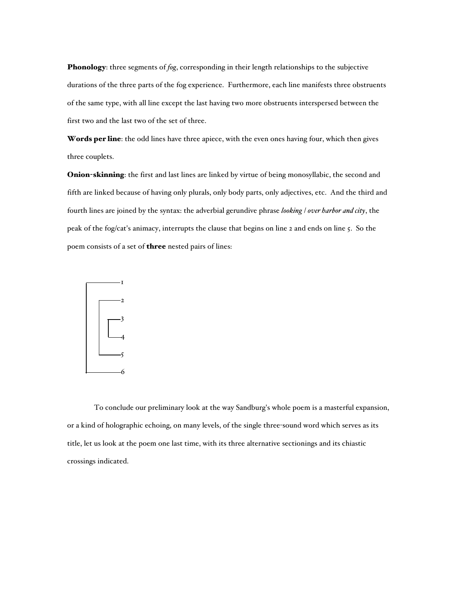Phonology: three segments of *fog*, corresponding in their length relationships to the subjective durations of the three parts of the fog experience. Furthermore, each line manifests three obstruents of the same type, with all line except the last having two more obstruents interspersed between the first two and the last two of the set of three.

Words per line: the odd lines have three apiece, with the even ones having four, which then gives three couplets.

**Onion-skinning**: the first and last lines are linked by virtue of being monosyllabic, the second and fifth are linked because of having only plurals, only body parts, only adjectives, etc. And the third and fourth lines are joined by the syntax: the adverbial gerundive phrase *looking* / *over harbor and city*, the peak of the fog/cat's animacy, interrupts the clause that begins on line 2 and ends on line 5. So the poem consists of a set of **three** nested pairs of lines:



To conclude our preliminary look at the way Sandburg's whole poem is a masterful expansion, or a kind of holographic echoing, on many levels, of the single three-sound word which serves as its title, let us look at the poem one last time, with its three alternative sectionings and its chiastic crossings indicated.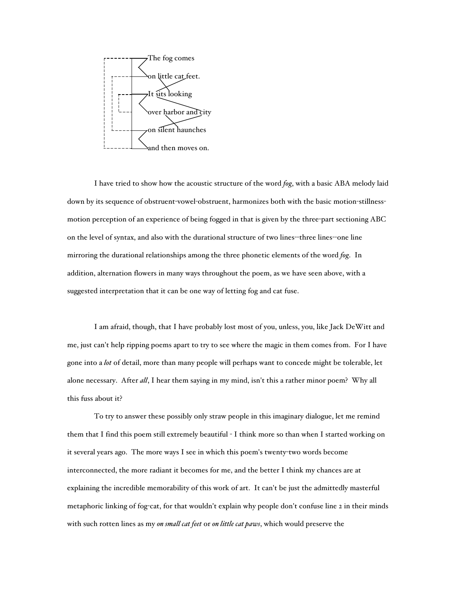

I have tried to show how the acoustic structure of the word *fog*, with a basic ABA melody laid down by its sequence of obstruent-vowel-obstruent, harmonizes both with the basic motion-stillnessmotion perception of an experience of being fogged in that is given by the three-part sectioning ABC on the level of syntax, and also with the durational structure of two lines--three lines--one line mirroring the durational relationships among the three phonetic elements of the word *fog*. In addition, alternation flowers in many ways throughout the poem, as we have seen above, with a suggested interpretation that it can be one way of letting fog and cat fuse.

I am afraid, though, that I have probably lost most of you, unless, you, like Jack DeWitt and me, just can't help ripping poems apart to try to see where the magic in them comes from. For I have gone into a *lot* of detail, more than many people will perhaps want to concede might be tolerable, let alone necessary. After *all*, I hear them saying in my mind, isn't this a rather minor poem? Why all this fuss about it?

To try to answer these possibly only straw people in this imaginary dialogue, let me remind them that I find this poem still extremely beautiful - I think more so than when I started working on it several years ago. The more ways I see in which this poem's twenty-two words become interconnected, the more radiant it becomes for me, and the better I think my chances are at explaining the incredible memorability of this work of art. It can't be just the admittedly masterful metaphoric linking of fog-cat, for that wouldn't explain why people don't confuse line 2 in their minds with such rotten lines as my *on small cat feet* or *on little cat paws*, which would preserve the